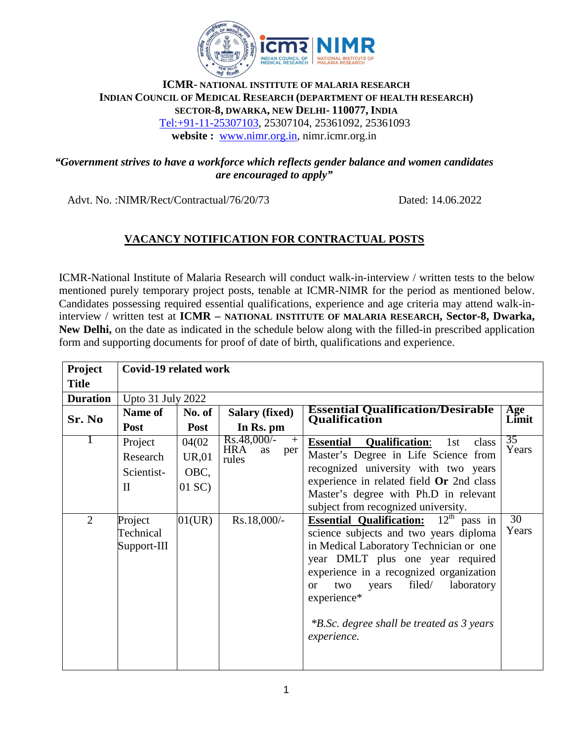

## **ICMR- NATIONAL INSTITUTE OF MALARIA RESEARCH INDIAN COUNCIL OF MEDICAL RESEARCH (DEPARTMENT OF HEALTH RESEARCH) SECTOR-8, DWARKA, NEW DELHI- 110077, INDIA** Tel:+91-11-25307103, 25307104, 25361092, 25361093 **website :** [www.nimr.org.in](http://www.nimr.org.in/), nimr.icmr.org.in

## *"Government strives to have a workforce which reflects gender balance and women candidates are encouraged to apply"*

Advt. No. :NIMR/Rect/Contractual/76/20/73 Dated: 14.06.2022

# *<sup>U</sup>***VACANCY NOTIFICATION FOR CONTRACTUAL POSTS**

ICMR-National Institute of Malaria Research will conduct walk-in-interview / written tests to the below mentioned purely temporary project posts, tenable at ICMR-NIMR for the period as mentioned below. Candidates possessing required essential qualifications, experience and age criteria may attend walk-ininterview / written test at **ICMR – NATIONAL INSTITUTE OF MALARIA RESEARCH, Sector-8, Dwarka, New Delhi,** on the date as indicated in the schedule below along with the filled-in prescribed application form and supporting documents for proof of date of birth, qualifications and experience.

| Project         | <b>Covid-19 related work</b> |              |                                  |                                                                                                               |                 |  |  |  |
|-----------------|------------------------------|--------------|----------------------------------|---------------------------------------------------------------------------------------------------------------|-----------------|--|--|--|
| <b>Title</b>    |                              |              |                                  |                                                                                                               |                 |  |  |  |
| <b>Duration</b> | Upto 31 July 2022            |              |                                  |                                                                                                               |                 |  |  |  |
| Sr. No          | <b>Name of</b>               | No. of       | <b>Salary (fixed)</b>            | <b>Essential Qualification/Desirable</b><br>Qualification                                                     | Age<br>Limit    |  |  |  |
|                 | <b>Post</b>                  | <b>Post</b>  | In Rs. pm                        |                                                                                                               |                 |  |  |  |
|                 | Project                      | 04(02)       | $Rs.48,000/-$<br>$+$             | <b>Qualification:</b><br><b>Essential</b><br>1st<br>class                                                     | 35              |  |  |  |
|                 | Research                     | <b>UR,01</b> | <b>HRA</b><br>as<br>per<br>rules | Master's Degree in Life Science from                                                                          | Years           |  |  |  |
|                 | Scientist-                   | OBC,         |                                  | recognized university with two years                                                                          |                 |  |  |  |
|                 | $\mathbf{I}$                 | $01$ SC)     |                                  | experience in related field Or 2nd class                                                                      |                 |  |  |  |
|                 |                              |              |                                  | Master's degree with Ph.D in relevant                                                                         |                 |  |  |  |
| $\overline{2}$  | Project                      | 01(UR)       | Rs.18,000/-                      | subject from recognized university.<br>$\overline{12}^{\text{th}}$ pass in<br><b>Essential Qualification:</b> | $\overline{30}$ |  |  |  |
|                 | Technical                    |              |                                  | science subjects and two years diploma                                                                        | Years           |  |  |  |
|                 | Support-III                  |              |                                  | in Medical Laboratory Technician or one                                                                       |                 |  |  |  |
|                 |                              |              |                                  | year DMLT plus one year required                                                                              |                 |  |  |  |
|                 |                              |              |                                  | experience in a recognized organization                                                                       |                 |  |  |  |
|                 |                              |              |                                  | filed/<br>laboratory<br>two<br>years<br><sub>or</sub>                                                         |                 |  |  |  |
|                 |                              |              |                                  | experience*                                                                                                   |                 |  |  |  |
|                 |                              |              |                                  |                                                                                                               |                 |  |  |  |
|                 |                              |              |                                  | *B.Sc. degree shall be treated as 3 years                                                                     |                 |  |  |  |
|                 |                              |              |                                  | experience.                                                                                                   |                 |  |  |  |
|                 |                              |              |                                  |                                                                                                               |                 |  |  |  |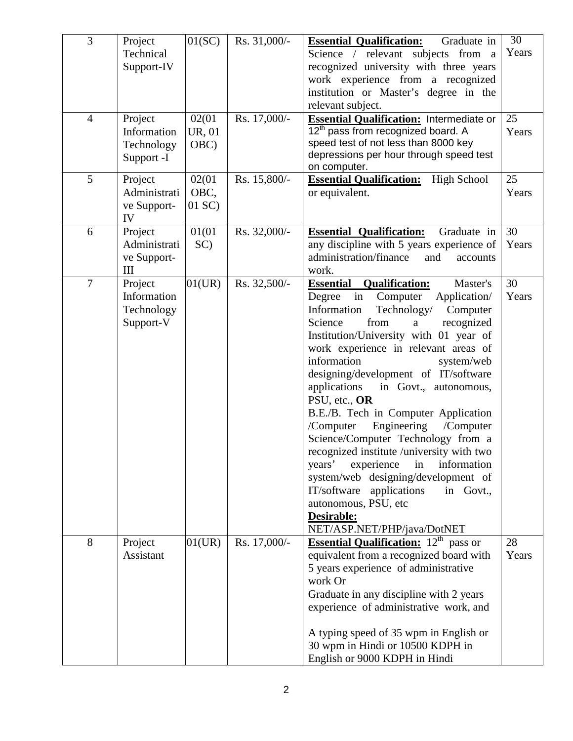| $\overline{3}$ | Project      | 01(SC) | Rs. 31,000/- | <b>Essential Qualification:</b><br>Graduate in                                  | 30    |
|----------------|--------------|--------|--------------|---------------------------------------------------------------------------------|-------|
|                | Technical    |        |              | Science / relevant subjects from a                                              | Years |
|                | Support-IV   |        |              | recognized university with three years                                          |       |
|                |              |        |              | work experience from a recognized                                               |       |
|                |              |        |              | institution or Master's degree in the                                           |       |
|                |              |        |              | relevant subject.                                                               |       |
| $\overline{4}$ | Project      | 02(01  | Rs. 17,000/- | Essential Qualification: Intermediate or                                        | 25    |
|                | Information  | UR, 01 |              | 12 <sup>th</sup> pass from recognized board. A                                  | Years |
|                | Technology   | OBC)   |              | speed test of not less than 8000 key<br>depressions per hour through speed test |       |
|                | Support -I   |        |              | on computer.                                                                    |       |
| 5              | Project      | 02(01  | Rs. 15,800/- | <b>Essential Qualification:</b><br>High School                                  | 25    |
|                | Administrati | OBC,   |              | or equivalent.                                                                  | Years |
|                | ve Support-  | 01 SC) |              |                                                                                 |       |
|                | IV           |        |              |                                                                                 |       |
| 6              | Project      | 01(01  | Rs. 32,000/- | <b>Essential Qualification:</b><br>Graduate in                                  | 30    |
|                | Administrati | SC)    |              | any discipline with 5 years experience of                                       | Years |
|                | ve Support-  |        |              | administration/finance<br>and<br>accounts                                       |       |
|                | III          |        |              | work.                                                                           |       |
| $\overline{7}$ | Project      | 01(UR) | Rs. 32,500/- | <b>Essential</b><br><b>Qualification:</b><br>Master's                           | 30    |
|                | Information  |        |              | Application/<br>Degree<br>Computer<br>in                                        | Years |
|                | Technology   |        |              | Information<br>Technology/<br>Computer                                          |       |
|                | Support-V    |        |              | from<br>Science<br>recognized<br>a                                              |       |
|                |              |        |              | Institution/University with 01 year of                                          |       |
|                |              |        |              | work experience in relevant areas of                                            |       |
|                |              |        |              | information<br>system/web                                                       |       |
|                |              |        |              | designing/development of IT/software                                            |       |
|                |              |        |              | in Govt., autonomous,<br>applications<br>PSU, etc., OR                          |       |
|                |              |        |              | B.E./B. Tech in Computer Application                                            |       |
|                |              |        |              | Engineering<br>/Computer<br>/Computer                                           |       |
|                |              |        |              | Science/Computer Technology from a                                              |       |
|                |              |        |              | recognized institute /university with two                                       |       |
|                |              |        |              | experience<br>in<br>information<br>years'                                       |       |
|                |              |        |              | system/web designing/development of                                             |       |
|                |              |        |              | IT/software applications<br>in Govt.,                                           |       |
|                |              |        |              | autonomous, PSU, etc                                                            |       |
|                |              |        |              | Desirable:                                                                      |       |
|                |              |        |              | NET/ASP.NET/PHP/java/DotNET                                                     |       |
| 8              | Project      | 01(UR) | Rs. 17,000/- | <b>Essential Qualification:</b> $12th$ pass or                                  | 28    |
|                | Assistant    |        |              | equivalent from a recognized board with                                         | Years |
|                |              |        |              | 5 years experience of administrative                                            |       |
|                |              |        |              | work Or                                                                         |       |
|                |              |        |              | Graduate in any discipline with 2 years                                         |       |
|                |              |        |              | experience of administrative work, and                                          |       |
|                |              |        |              |                                                                                 |       |
|                |              |        |              | A typing speed of 35 wpm in English or                                          |       |
|                |              |        |              | 30 wpm in Hindi or 10500 KDPH in                                                |       |
|                |              |        |              | English or 9000 KDPH in Hindi                                                   |       |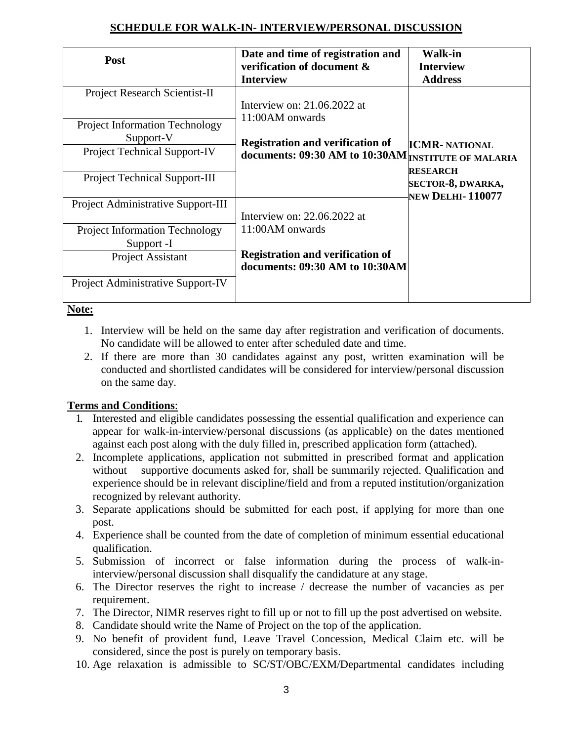# **SCHEDULE FOR WALK-IN- INTERVIEW/PERSONAL DISCUSSION**

| Post                                                                                                                              | Date and time of registration and<br>verification of document &<br><b>Interview</b>                                                                | <b>Walk-in</b><br><b>Interview</b><br><b>Address</b>            |  |
|-----------------------------------------------------------------------------------------------------------------------------------|----------------------------------------------------------------------------------------------------------------------------------------------------|-----------------------------------------------------------------|--|
| <b>Project Research Scientist-II</b><br><b>Project Information Technology</b><br>Support-V<br><b>Project Technical Support-IV</b> | Interview on: $21.06.2022$ at<br>11:00AM onwards<br><b>Registration and verification of</b><br>documents: 09:30 AM to 10:30AM INSTITUTE OF MALARIA | <b>ICMR- NATIONAL</b>                                           |  |
| <b>Project Technical Support-III</b>                                                                                              |                                                                                                                                                    | <b>RESEARCH</b><br>SECTOR-8, DWARKA,<br><b>NEW DELHI-110077</b> |  |
| Project Administrative Support-III                                                                                                | Interview on: $22.06.2022$ at                                                                                                                      |                                                                 |  |
| <b>Project Information Technology</b><br>Support -I                                                                               | 11:00AM onwards                                                                                                                                    |                                                                 |  |
| <b>Project Assistant</b>                                                                                                          | <b>Registration and verification of</b><br>documents: 09:30 AM to 10:30AM                                                                          |                                                                 |  |
| Project Administrative Support-IV                                                                                                 |                                                                                                                                                    |                                                                 |  |

### **Note:**

- 1. Interview will be held on the same day after registration and verification of documents. No candidate will be allowed to enter after scheduled date and time.
- 2. If there are more than 30 candidates against any post, written examination will be conducted and shortlisted candidates will be considered for interview/personal discussion on the same day.

## **Terms and Conditions**:

- 1. Interested and eligible candidates possessing the essential qualification and experience can appear for walk-in-interview/personal discussions (as applicable) on the dates mentioned against each post along with the duly filled in, prescribed application form (attached).
- 2. Incomplete applications, application not submitted in prescribed format and application without supportive documents asked for, shall be summarily rejected. Qualification and experience should be in relevant discipline/field and from a reputed institution/organization recognized by relevant authority.
- 3. Separate applications should be submitted for each post, if applying for more than one post.
- 4. Experience shall be counted from the date of completion of minimum essential educational qualification.
- 5. Submission of incorrect or false information during the process of walk-ininterview/personal discussion shall disqualify the candidature at any stage.
- 6. The Director reserves the right to increase / decrease the number of vacancies as per requirement.
- 7. The Director, NIMR reserves right to fill up or not to fill up the post advertised on website.
- 8. Candidate should write the Name of Project on the top of the application.
- 9. No benefit of provident fund, Leave Travel Concession, Medical Claim etc. will be considered, since the post is purely on temporary basis.
- 10. Age relaxation is admissible to SC/ST/OBC/EXM/Departmental candidates including